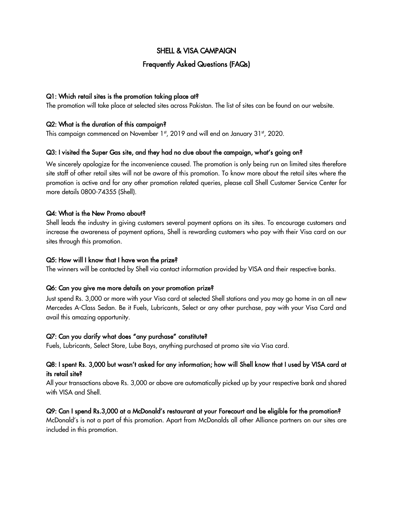# SHELL & VISA CAMPAIGN

## Frequently Asked Questions (FAQs)

### Q1: Which retail sites is the promotion taking place at?

The promotion will take place at selected sites across Pakistan. The list of sites can be found on our website.

### Q2: What is the duration of this campaign?

This campaign commenced on November 1st, 2019 and will end on January 31st, 2020.

### Q3: I visited the Super Gas site, and they had no clue about the campaign, what's going on?

We sincerely apologize for the inconvenience caused. The promotion is only being run on limited sites therefore site staff of other retail sites will not be aware of this promotion. To know more about the retail sites where the promotion is active and for any other promotion related queries, please call Shell Customer Service Center for more details 0800-74355 (Shell).

#### Q4: What is the New Promo about?

Shell leads the industry in giving customers several payment options on its sites. To encourage customers and increase the awareness of payment options, Shell is rewarding customers who pay with their Visa card on our sites through this promotion.

#### Q5: How will I know that I have won the prize?

The winners will be contacted by Shell via contact information provided by VISA and their respective banks.

#### Q6: Can you give me more details on your promotion prize?

Just spend Rs. 3,000 or more with your Visa card at selected Shell stations and you may go home in an all new Mercedes A-Class Sedan. Be it Fuels, Lubricants, Select or any other purchase, pay with your Visa Card and avail this amazing opportunity.

#### Q7: Can you clarify what does "any purchase" constitute?

Fuels, Lubricants, Select Store, Lube Bays, anything purchased at promo site via Visa card.

## Q8: I spent Rs. 3,000 but wasn't asked for any information; how will Shell know that I used by VISA card at its retail site?

All your transactions above Rs. 3,000 or above are automatically picked up by your respective bank and shared with VISA and Shell.

### Q9: Can I spend Rs.3,000 at a McDonald's restaurant at your Forecourt and be eligible for the promotion?

McDonald's is not a part of this promotion. Apart from McDonalds all other Alliance partners on our sites are included in this promotion.